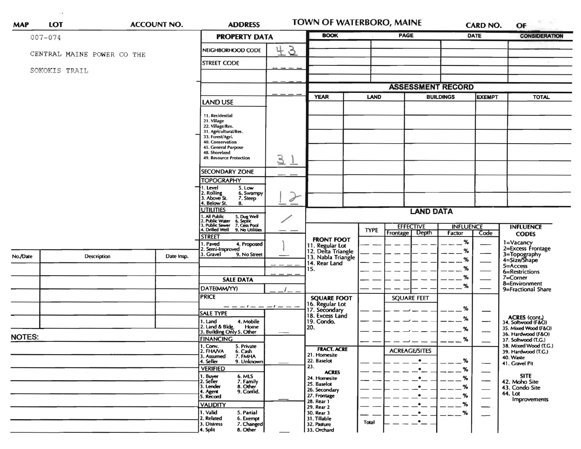| <b>MAP</b>    | LOT                        |           | <b>ACCOUNT NO.</b>   | <b>ADDRESS</b>                                                                                                                                              |                         | TOWN OF WATERBORO, MAINE                                    |             |                                                  | CARD NO.                                  |                          | OF                                  |
|---------------|----------------------------|-----------|----------------------|-------------------------------------------------------------------------------------------------------------------------------------------------------------|-------------------------|-------------------------------------------------------------|-------------|--------------------------------------------------|-------------------------------------------|--------------------------|-------------------------------------|
| $007 - 074$   |                            |           | <b>PROPERTY DATA</b> |                                                                                                                                                             | <b>BOOK</b>             |                                                             | <b>PAGE</b> | <b>DATE</b>                                      |                                           | <b>CONSIDERATION</b>     |                                     |
|               | CENTRAL MAINE POWER CO THE |           |                      | NEIGHBORHOOD CODE                                                                                                                                           | $\mathcal{G}$<br>4      |                                                             |             |                                                  |                                           |                          |                                     |
| SOKOKIS TRAIL |                            |           |                      | <b>STREET CODE</b>                                                                                                                                          |                         |                                                             |             |                                                  |                                           |                          |                                     |
|               |                            |           |                      |                                                                                                                                                             |                         |                                                             |             |                                                  |                                           |                          |                                     |
|               |                            |           |                      |                                                                                                                                                             |                         |                                                             |             | <b>ASSESSMENT RECORD</b>                         |                                           |                          |                                     |
|               |                            |           | <b>LAND USE</b>      |                                                                                                                                                             | <b>YEAR</b>             | <b>LAND</b>                                                 |             | <b>BUILDINGS</b>                                 | <b>EXEMPT</b>                             | <b>TOTAL</b>             |                                     |
|               |                            |           |                      | 11. Residential<br>21. Village<br>22. Village/Res.<br>31. Agricultural/Res.<br>33. Forest/Agri.<br>40. Conservation<br>45. General Purpose<br>48. Shoreland |                         |                                                             |             |                                                  |                                           |                          |                                     |
|               |                            |           |                      | 49. Resource Protection<br><b>SECONDARY ZONE</b>                                                                                                            | 3                       |                                                             |             |                                                  |                                           |                          |                                     |
|               |                            |           |                      | <b>TOPOGRAPHY</b>                                                                                                                                           |                         |                                                             |             |                                                  |                                           |                          |                                     |
|               |                            |           |                      | I. Level<br>5. Low<br>2. Rolling<br>3. Above St.<br>6. Swampy<br>7. Steep<br>4. Below St.<br>8.                                                             | $\partial$              |                                                             |             |                                                  |                                           |                          |                                     |
|               |                            |           | <b>UTILITIES</b>     |                                                                                                                                                             | <b>LAND DATA</b>        |                                                             |             |                                                  |                                           |                          |                                     |
|               |                            |           |                      | 1. All Public 5. Dug Well<br>2. Public Water 6. Septic<br>3. Public Sewer 7. Cess Pool<br>4. Drifled Well 9. No Utilities                                   |                         |                                                             | <b>TYPE</b> | <b>EFFECTIVE</b><br>Depth<br>Frontage            | <b>INFLUENCE</b><br>Factor                | Code                     | <b>INFLUENCE</b>                    |
|               |                            |           |                      | <b>STREET</b>                                                                                                                                               |                         | <b>FRONT FOOT</b>                                           |             |                                                  | %                                         |                          | <b>CODES</b>                        |
|               |                            |           |                      | 1. Paved<br>4. Proposed<br>2. Semi-Improved                                                                                                                 |                         | 11. Regular Lot<br>12. Delta Triangle<br>13. Nabla Triangle |             |                                                  | $\%$                                      |                          | 1=Vacancy<br>2=Excess Frontage      |
| No./Date      | Description                |           | Date Insp.           | 3. Gravel<br>9. No Street                                                                                                                                   |                         | 14. Rear Land                                               |             |                                                  | %                                         |                          | 3=Topography<br>4=Size/Shape        |
|               |                            |           |                      |                                                                                                                                                             |                         | 15.                                                         |             |                                                  | %                                         |                          | $5 = ACCess$<br>6=Restrictions      |
|               |                            |           |                      | <b>SALE DATA</b>                                                                                                                                            |                         |                                                             |             |                                                  | %                                         |                          | $7 =$ Corner<br>8=Environment       |
|               |                            |           |                      | DATE(MM/YY)                                                                                                                                                 |                         |                                                             |             |                                                  | %                                         |                          | 9=Fractional Share                  |
|               |                            |           |                      | <b>PRICE</b>                                                                                                                                                |                         | <b>SQUARE FOOT</b>                                          |             | <b>SQUARE FEET</b>                               |                                           |                          |                                     |
|               |                            |           |                      |                                                                                                                                                             | — — — ! — — — - ! — — - | 16. Regular Lot<br>17. Secondary                            |             |                                                  | %                                         |                          |                                     |
|               |                            |           |                      | <b>SALE TYPE</b><br>4. Mobile<br>1. Land                                                                                                                    |                         | 18. Excess Land<br>19. Condo.                               |             |                                                  | ℅                                         |                          | ACRES (cont.)<br>34. Softwood (F&O) |
|               |                            |           |                      | 2. Land & Bldg. Home<br>3. Building Only 5. Other<br>Home                                                                                                   |                         | 20.                                                         |             |                                                  | %                                         |                          | 35. Mixed Wood (F&O)                |
| <b>NOTES:</b> |                            | FINANCING |                      |                                                                                                                                                             |                         |                                                             | $---%$      |                                                  | 36. Hardwood (F&O)<br>37. Softwood (T.G.) |                          |                                     |
|               |                            |           |                      | 1. Conv.<br>5. Private<br>2. FHAVA                                                                                                                          |                         | <b>FRACT. ACRE</b>                                          |             | $\overline{\phantom{a}}$<br><b>ACREAGE/SITES</b> |                                           |                          | 38. Mixed Wood (T.G.)               |
|               |                            |           |                      | 6. Cash<br>7. FMHA<br>3. Assumed                                                                                                                            |                         | 21. Homesite                                                |             |                                                  |                                           |                          | 39. Hardwood (T.G.)<br>40. Waste    |
|               |                            |           |                      | 9. Unknown<br>4. Seller<br><b>VERIFIED</b>                                                                                                                  |                         | 22. Baselot<br>23.                                          |             | $\bullet$                                        | %<br>%                                    | $\overline{\phantom{0}}$ | 41. Gravel Pit                      |
|               |                            |           |                      | 1. Buyer<br>6. MLS                                                                                                                                          |                         | <b>ACRES</b><br>24. Homesite                                |             |                                                  | %                                         |                          | <b>SITE</b>                         |
|               |                            |           |                      | 2. Seller<br>7. Family<br>8. Other<br>3. Lender                                                                                                             |                         | 25. Baselot                                                 |             |                                                  | %                                         | $\overline{\phantom{0}}$ | 42. Moho Site<br>43. Condo Site     |
|               |                            |           |                      | 4. Agent<br>9. Confid.<br>5. Record                                                                                                                         |                         | 26. Secondary<br>27. Frontage                               |             |                                                  | %                                         | $\overline{\phantom{0}}$ | 44. Lot                             |
|               |                            |           |                      | <b>VALIDITY</b>                                                                                                                                             |                         | 28. Rear 1                                                  |             |                                                  | %                                         |                          | Improvements                        |
|               |                            |           |                      | 1. Valid<br>5. Partial                                                                                                                                      |                         | 29. Rear 2<br>30. Rear 3                                    |             | $\bullet$                                        | %                                         | —                        |                                     |
|               |                            |           |                      | 2. Related<br>6. Exempt<br>3. Distress<br>7. Changed                                                                                                        |                         | 31. Tillable<br>32. Pasture                                 | Total       | $\bullet$                                        |                                           | $\hspace{0.05cm}$        |                                     |
|               |                            |           |                      | 8. Other<br>4. Split                                                                                                                                        |                         | 33. Orchard                                                 |             |                                                  |                                           |                          |                                     |